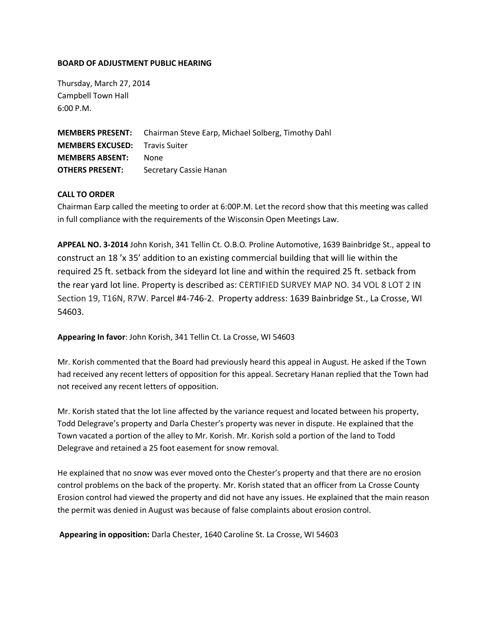## **BOARD OF ADJUSTMENT PUBLIC HEARING**

Thursday, March 27, 2014 Campbell Town Hall 6:00 P.M.

**MEMBERS PRESENT:** Chairman Steve Earp, Michael Solberg, Timothy Dahl **MEMBERS EXCUSED:** Travis Suiter **MEMBERS ABSENT:** None **OTHERS PRESENT:** Secretary Cassie Hanan

## **CALL TO ORDER**

Chairman Earp called the meeting to order at 6:00P.M. Let the record show that this meeting was called in full compliance with the requirements of the Wisconsin Open Meetings Law.

**APPEAL NO. 3-2014** John Korish, 341 Tellin Ct. O.B.O. Proline Automotive, 1639 Bainbridge St., appeal to construct an 18 'x 35' addition to an existing commercial building that will lie within the required 25 ft. setback from the sideyard lot line and within the required 25 ft. setback from the rear yard lot line. Property is described as: CERTIFIED SURVEY MAP NO. 34 VOL 8 LOT 2 IN Section 19, T16N, R7W. Parcel #4-746-2. Property address: 1639 Bainbridge St., La Crosse, WI 54603.

**Appearing In favor**: John Korish, 341 Tellin Ct. La Crosse, WI 54603

Mr. Korish commented that the Board had previously heard this appeal in August. He asked if the Town had received any recent letters of opposition for this appeal. Secretary Hanan replied that the Town had not received any recent letters of opposition.

Mr. Korish stated that the lot line affected by the variance request and located between his property, Todd Delegrave's property and Darla Chester's property was never in dispute. He explained that the Town vacated a portion of the alley to Mr. Korish. Mr. Korish sold a portion of the land to Todd Delegrave and retained a 25 foot easement for snow removal.

He explained that no snow was ever moved onto the Chester's property and that there are no erosion control problems on the back of the property. Mr. Korish stated that an officer from La Crosse County Erosion control had viewed the property and did not have any issues. He explained that the main reason the permit was denied in August was because of false complaints about erosion control.

**Appearing in opposition:** Darla Chester, 1640 Caroline St. La Crosse, WI 54603